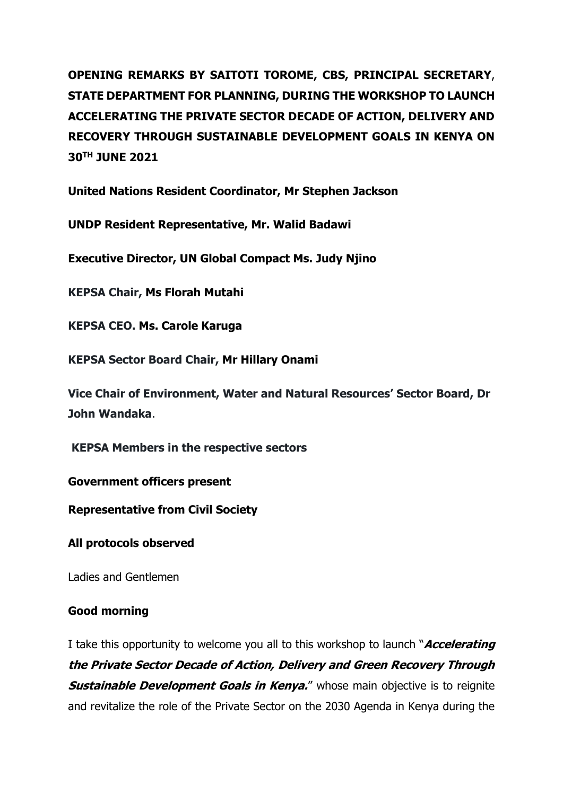**OPENING REMARKS BY SAITOTI TOROME, CBS, PRINCIPAL SECRETARY**, **STATE DEPARTMENT FOR PLANNING, DURING THE WORKSHOP TO LAUNCH ACCELERATING THE PRIVATE SECTOR DECADE OF ACTION, DELIVERY AND RECOVERY THROUGH SUSTAINABLE DEVELOPMENT GOALS IN KENYA ON 30TH JUNE 2021**

**United Nations Resident Coordinator, Mr Stephen Jackson**

**UNDP Resident Representative, Mr. Walid Badawi**

**Executive Director, UN Global Compact Ms. Judy Njino**

**KEPSA Chair, Ms Florah Mutahi**

**KEPSA CEO. Ms. Carole Karuga**

**KEPSA Sector Board Chair, Mr Hillary Onami**

**Vice Chair of Environment, Water and Natural Resources' Sector Board, Dr John Wandaka**.

**KEPSA Members in the respective sectors**

**Government officers present**

**Representative from Civil Society**

**All protocols observed**

Ladies and Gentlemen

# **Good morning**

I take this opportunity to welcome you all to this workshop to launch "**Accelerating the Private Sector Decade of Action, Delivery and Green Recovery Through Sustainable Development Goals in Kenya.**" whose main objective is to reignite and revitalize the role of the Private Sector on the 2030 Agenda in Kenya during the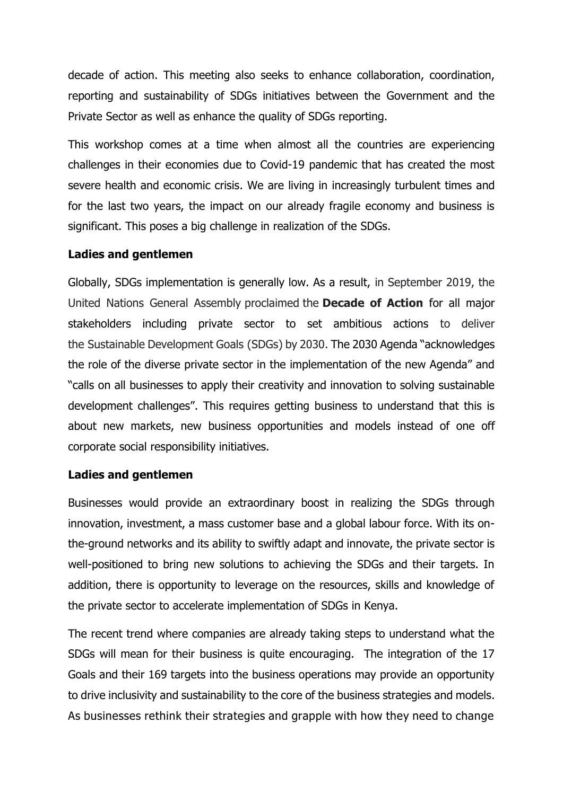decade of action. This meeting also seeks to enhance collaboration, coordination, reporting and sustainability of SDGs initiatives between the Government and the Private Sector as well as enhance the quality of SDGs reporting.

This workshop comes at a time when almost all the countries are experiencing challenges in their economies due to Covid-19 pandemic that has created the most severe health and economic crisis. We are living in increasingly turbulent times and for the last two years, the impact on our already fragile economy and business is significant. This poses a big challenge in realization of the SDGs.

## **Ladies and gentlemen**

Globally, SDGs implementation is generally low. As a result, in September 2019, the United Nations General Assembly proclaimed the **Decade of Action** for all major stakeholders including private sector to set ambitious actions to deliver the Sustainable Development Goals (SDGs) by 2030. The 2030 Agenda "acknowledges the role of the diverse private sector in the implementation of the new Agenda" and "calls on all businesses to apply their creativity and innovation to solving sustainable development challenges". This requires getting business to understand that this is about new markets, new business opportunities and models instead of one off corporate social responsibility initiatives.

## **Ladies and gentlemen**

Businesses would provide an extraordinary boost in realizing the SDGs through innovation, investment, a mass customer base and a global labour force. With its onthe-ground networks and its ability to swiftly adapt and innovate, the private sector is well-positioned to bring new solutions to achieving the SDGs and their targets. In addition, there is opportunity to leverage on the resources, skills and knowledge of the private sector to accelerate implementation of SDGs in Kenya.

The recent trend where companies are already taking steps to understand what the SDGs will mean for their business is quite encouraging. The integration of the 17 Goals and their 169 targets into the business operations may provide an opportunity to drive inclusivity and sustainability to the core of the business strategies and models. As businesses rethink their strategies and grapple with how they need to change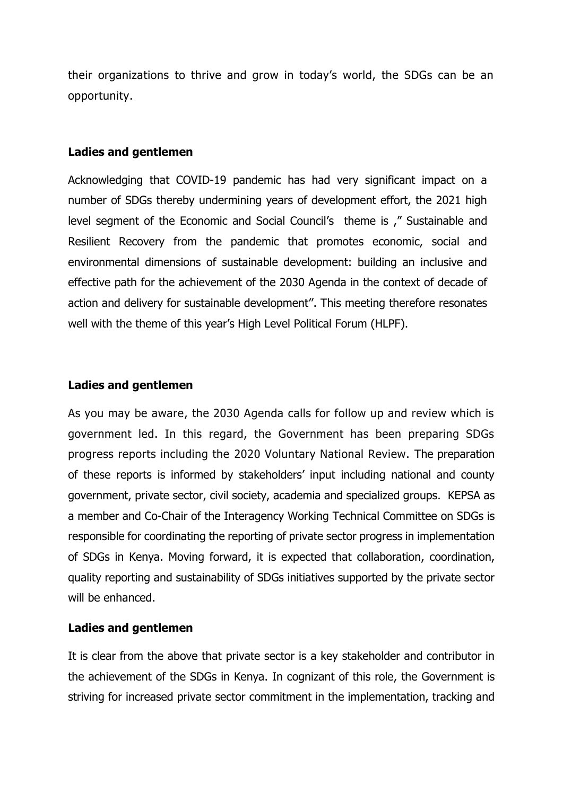their organizations to thrive and grow in today's world, the SDGs can be an opportunity.

## **Ladies and gentlemen**

Acknowledging that COVID-19 pandemic has had very significant impact on a number of SDGs thereby undermining years of development effort, the 2021 high level segment of the Economic and Social Council's theme is ," Sustainable and Resilient Recovery from the pandemic that promotes economic, social and environmental dimensions of sustainable development: building an inclusive and effective path for the achievement of the 2030 Agenda in the context of decade of action and delivery for sustainable development''. This meeting therefore resonates well with the theme of this year's High Level Political Forum (HLPF).

### **Ladies and gentlemen**

As you may be aware, the 2030 Agenda calls for follow up and review which is government led. In this regard, the Government has been preparing SDGs progress reports including the 2020 Voluntary National Review. The preparation of these reports is informed by stakeholders' input including national and county government, private sector, civil society, academia and specialized groups. KEPSA as a member and Co-Chair of the Interagency Working Technical Committee on SDGs is responsible for coordinating the reporting of private sector progress in implementation of SDGs in Kenya. Moving forward, it is expected that collaboration, coordination, quality reporting and sustainability of SDGs initiatives supported by the private sector will be enhanced.

## **Ladies and gentlemen**

It is clear from the above that private sector is a key stakeholder and contributor in the achievement of the SDGs in Kenya. In cognizant of this role, the Government is striving for increased private sector commitment in the implementation, tracking and